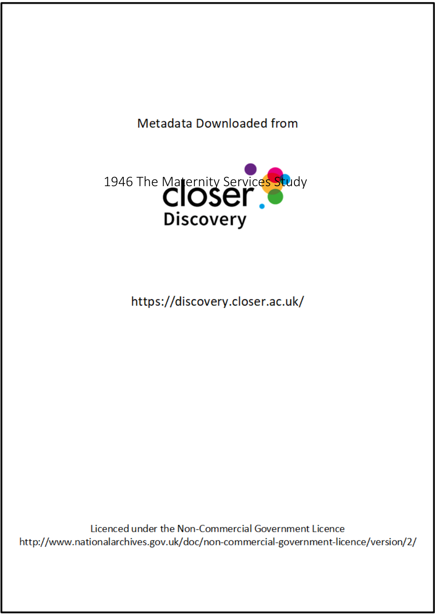## Metadata Downloaded from



https://discovery.closer.ac.uk/

Licenced under the Non-Commercial Government Licence http://www.nationalarchives.gov.uk/doc/non-commercial-government-licence/version/2/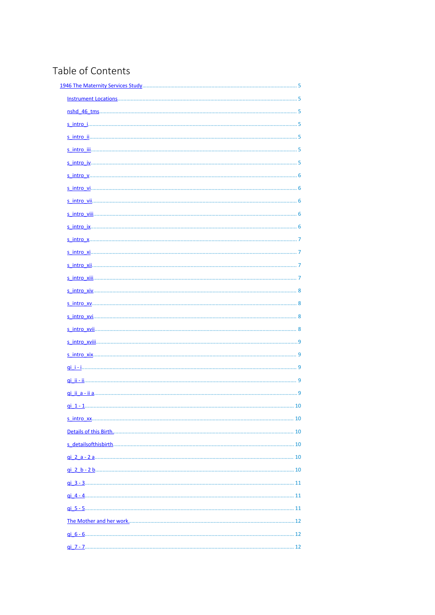## Table of Contents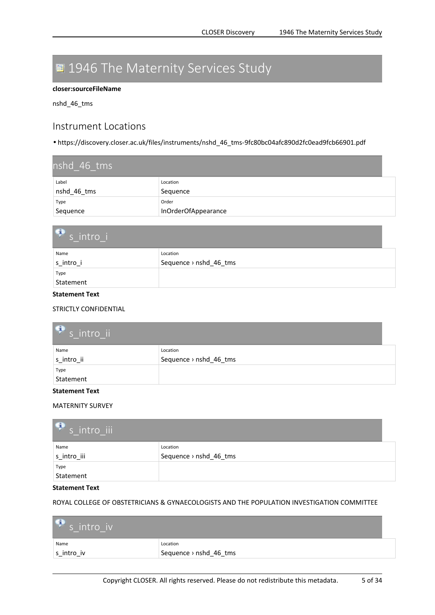## <span id="page-4-0"></span>**1946 The Maternity Services Study**

#### **closer:sourceFileName**

nshd\_46\_tms

### **Instrument Locations**

• https://discovery.closer.ac.uk/files/instruments/nshd\_46\_tms-9fc80bc04afc890d2fc0ead9fcb66901.pdf

| nshd 46 tms |                     |  |
|-------------|---------------------|--|
| Label       | Location            |  |
| nshd_46_tms | Sequence            |  |
| Type        | Order               |  |
| Sequence    | InOrderOfAppearance |  |

| $\mathbf{G}$<br>$\frac{1}{s}$ intro i |  |  |
|---------------------------------------|--|--|
| Location                              |  |  |
| Sequence > nshd_46_tms                |  |  |
|                                       |  |  |
|                                       |  |  |
|                                       |  |  |

#### **Statement Text**

STRICTLY CONFIDENTIAL

| $\mathbf{P}$ s intro ii |  |
|-------------------------|--|
| Location                |  |
| Sequence > nshd_46_tms  |  |
|                         |  |
|                         |  |
|                         |  |

#### **Statement Text**

MATERNITY SURVEY

| $\bullet$ s intro iii |                        |
|-----------------------|------------------------|
| Name                  | Location               |
| s intro iii           | Sequence > nshd_46_tms |
| Type                  |                        |
| Statement             |                        |

#### **Statement Text**

ROYAL COLLEGE OF OBSTETRICIANS & GYNAECOLOGISTS AND THE POPULATION INVESTIGATION COMMITTEE

| $\bullet$ s intro iv |                        |
|----------------------|------------------------|
| Name                 | Location               |
| s_intro_iv           | Sequence > nshd 46 tms |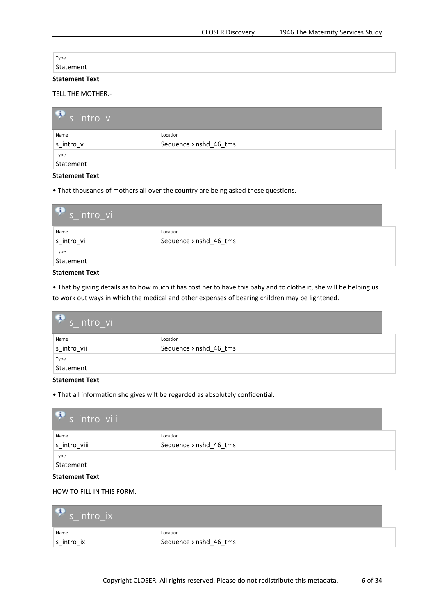<span id="page-5-0"></span>

| Type      |  |
|-----------|--|
| Statement |  |
| __        |  |

#### TELL THE MOTHER:-

| $\bullet$ s intro v |                        |
|---------------------|------------------------|
| Name                | Location               |
| s intro v           | Sequence > nshd_46_tms |
| Type                |                        |
| Statement           |                        |

#### **Statement Text**

• That thousands of mothers all over the country are being asked these questions.

| $\bullet$ s intro vi |                        |  |
|----------------------|------------------------|--|
| Name                 | Location               |  |
| s intro vi           | Sequence > nshd_46_tms |  |
| Type                 |                        |  |
| Statement            |                        |  |

#### **Statement Text**

• That by giving details as to how much it has cost her to have this baby and to clothe it, she will be helping us to work out ways in which the medical and other expenses of bearing children may be lightened.

| $\bullet$ s intro vii |                                    |
|-----------------------|------------------------------------|
| Name<br>s_intro_vii   | Location<br>Sequence > nshd_46_tms |
| Type                  |                                    |
| Statement             |                                    |

#### **Statement Text**

• That all information she gives wilt be regarded as absolutely confidential.

| $\mathbf{P}$ s intro viii |  |
|---------------------------|--|
| Location                  |  |
| Sequence > nshd_46_tms    |  |
|                           |  |
|                           |  |
|                           |  |

#### **Statement Text**

#### HOW TO FILL IN THIS FORM.

| $\mathbb{F}_{s}$ intro ix |                        |
|---------------------------|------------------------|
| Name                      | Location               |
| s intro ix                | Sequence > nshd 46 tms |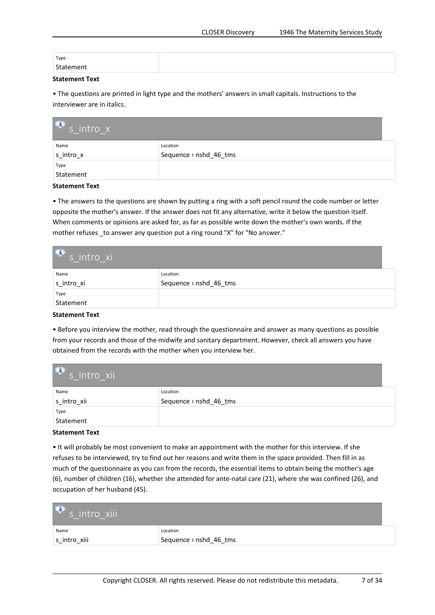<span id="page-6-0"></span>

| Type      |  |
|-----------|--|
| Statement |  |

• The questions are printed in light type and the mothers' answers in small capitals. Instructions to the interviewer are in italics.

| $\bullet$ s intro x |                        |
|---------------------|------------------------|
| Name                | Location               |
| s intro x           | Sequence > nshd_46_tms |
| Type                |                        |
| Statement           |                        |

**Statement Text**

• The answers to the questions are shown by putting <sup>a</sup> ring with <sup>a</sup> soft pencil round the code number or letter opposite the mother's answer. If the answer does not fit any alternative, write it below the question itself. When comments or opinions are asked for, as far as possible write down the mother's own words. If the mother refuses \_to answer any question put <sup>a</sup> ring round "X" for "No answer."

| $\mathbf{P}$ s intro xi |                                    |
|-------------------------|------------------------------------|
| Name<br>s intro xi      | Location<br>Sequence > nshd_46_tms |
| Type                    |                                    |
| Statement               |                                    |

#### **Statement Text**

• Before you interview the mother, read through the questionnaire and answer as many questions as possible from your records and those of the midwife and sanitary department. However, check all answers you have obtained from the records with the mother when you interview her.

| $\bullet$ s intro xii |                                    |
|-----------------------|------------------------------------|
| Name<br>s_intro_xii   | Location<br>Sequence > nshd_46_tms |
| Type                  |                                    |
| Statement             |                                    |

#### **Statement Text**

• It will probably be most convenient to make an appointment with the mother for this interview. If she refuses to be interviewed, try to find out her reasons and write them in the space provided. Then fill in as much of the questionnaire as you can from the records, the essential items to obtain being the mother's age (6), number of children (16), whether she attended for ante-natal care (21), where she was confined (26), and occupation of her husband (45).

| $\mathcal{F}$ s intro xiii |                        |
|----------------------------|------------------------|
| Name                       | Location               |
| s intro xiii               | Sequence > nshd_46_tms |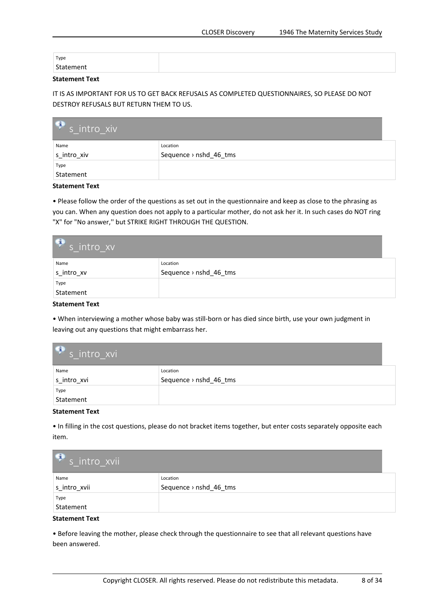<span id="page-7-0"></span>

| Type      |  |
|-----------|--|
| Statement |  |

IT IS AS IMPORTANT FOR US TO GET BACK REFUSALS AS COMPLETED QUESTIONNAIRES, SO PLEASE DO NOT DESTROY REFUSALS BUT RETURN THEM TO US.

| $\bullet$ s intro xiv |                        |
|-----------------------|------------------------|
| Name                  | Location               |
| s_intro_xiv           | Sequence > nshd_46_tms |
| Type                  |                        |
| Statement             |                        |

**Statement Text**

• Please follow the order of the questions as set out in the questionnaire and keep as close to the phrasing as you can. When any question does not apply to <sup>a</sup> particular mother, do not ask her it. In such cases do NOT ring "X" for "No answer,'' but STRIKE RIGHT THROUGH THE QUESTION.

| $\bullet$ s intro_xv |                        |
|----------------------|------------------------|
| Name                 | Location               |
| s_intro_xv           | Sequence > nshd_46_tms |
| Type                 |                        |
| Statement            |                        |

**Statement Text**

• When interviewing <sup>a</sup> mother whose baby was still-born or has died since birth, use your own judgment in leaving out any questions that might embarrass her.

| $\bullet$ s intro xvi |                        |
|-----------------------|------------------------|
| Name                  | Location               |
| s_intro_xvi           | Sequence > nshd_46_tms |
| Type                  |                        |
| Statement             |                        |

#### **Statement Text**

• In filling in the cost questions, please do not bracket items together, but enter costs separately opposite each item.

| $\mathbf{P}_s$ intro xvii |                        |
|---------------------------|------------------------|
| Name                      | Location               |
| s intro xvii              | Sequence > nshd_46_tms |
| Type                      |                        |
| Statement                 |                        |

#### **Statement Text**

• Before leaving the mother, please check through the questionnaire to see that all relevant questions have been answered.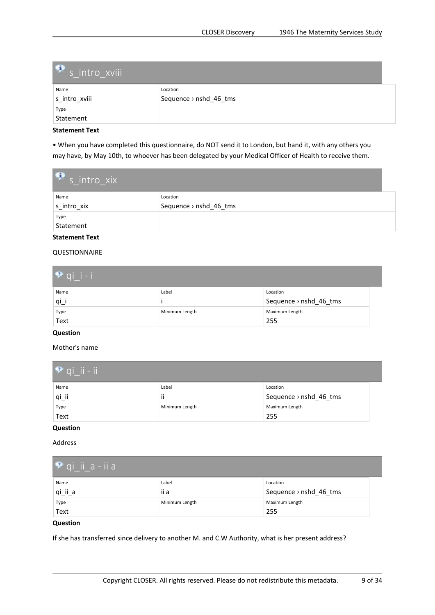<span id="page-8-0"></span>

| S intro xviii |                        |
|---------------|------------------------|
| Name          | Location               |
| s intro xviii | Sequence > nshd_46_tms |
| Type          |                        |
| Statement     |                        |

• When you have completed this questionnaire, do NOT send it to London, but hand it, with any others you may have, by May 10th, to whoever has been delegated by your Medical Officer of Health to receive them.

| $\bullet$ s intro_xix |                        |
|-----------------------|------------------------|
| Name                  | Location               |
| s intro xix           | Sequence > nshd_46_tms |
| Type                  |                        |
| Statement             |                        |

#### **Statement Text**

#### QUESTIONNAIRE

| $\bullet$ qi i-i    |                |                                    |
|---------------------|----------------|------------------------------------|
| Name<br>$q_{\perp}$ | Label          | Location<br>Sequence > nshd_46_tms |
| Type<br>Text        | Minimum Length | Maximum Length<br>255              |

#### **Question**

Mother's name

| $\bullet$ qi_ii - ii |                       |                                    |  |
|----------------------|-----------------------|------------------------------------|--|
| Name<br>$qi$ _ii     | Label<br>$\cdot$<br>Ħ | Location<br>Sequence > nshd_46_tms |  |
| Type<br>Text         | Minimum Length        | Maximum Length<br>255              |  |

### **Question**

Address

| $\bullet$ qi ii a-ii a |                |                                    |
|------------------------|----------------|------------------------------------|
| Name                   | Label          | Location                           |
| qi_ii_a                | ii a           | Sequence $\rightarrow$ nshd 46 tms |
| Type                   | Minimum Length | Maximum Length                     |
| Text                   |                | 255                                |

#### **Question**

If she has transferred since delivery to another M. and C.W Authority, what is her present address?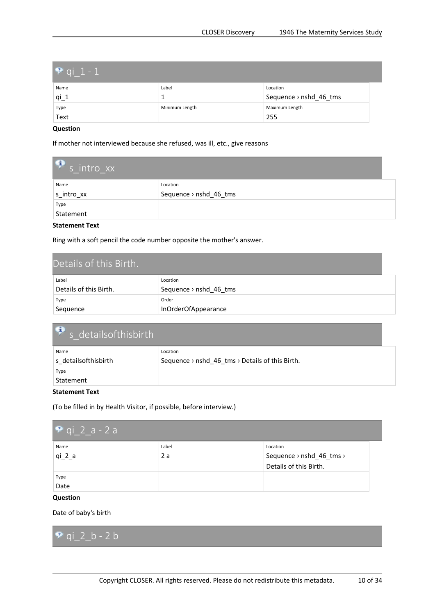<span id="page-9-0"></span>

| • qi_1 - 1 |                |                        |  |
|------------|----------------|------------------------|--|
| Name       | Label          | Location               |  |
| $qi_1$     |                | Sequence > nshd_46_tms |  |
| Type       | Minimum Length | Maximum Length         |  |
| Text       |                | 255                    |  |

If mother not interviewed because she refused, was ill, etc., give reasons

| $\bullet$ s intro xx |                        |  |
|----------------------|------------------------|--|
| Name                 | Location               |  |
| s intro xx           | Sequence > nshd_46_tms |  |
| Type                 |                        |  |
| Statement            |                        |  |

#### **Statement Text**

Ring with <sup>a</sup> soft pencil the code number opposite the mother's answer.

| Details of this Birth. |                                    |
|------------------------|------------------------------------|
| Label                  | Location                           |
| Details of this Birth. | Sequence $\rightarrow$ nshd 46 tms |
| Type                   | Order                              |
| Sequence               | InOrderOfAppearance                |

| $\bullet$ s details of this birth |                                                     |
|-----------------------------------|-----------------------------------------------------|
| Name                              | Location                                            |
| s detailsofthisbirth              | Sequence > $nshd_46_{rms}$ > Details of this Birth. |
| Type                              |                                                     |
| Statement                         |                                                     |

#### **Statement Text**

(To be filled in by Health Visitor, if possible, before interview.)

| $\bullet$ qi 2 a - 2 a        |             |                                                                |
|-------------------------------|-------------|----------------------------------------------------------------|
| Name<br>qi 2 a                | Label<br>2a | Location<br>Sequence > nshd_46_tms ><br>Details of this Birth. |
| Type<br>Date<br>$\sim$ $\sim$ |             |                                                                |

#### **Question**

Date of baby's birth

**qi\_2\_b - 2 b**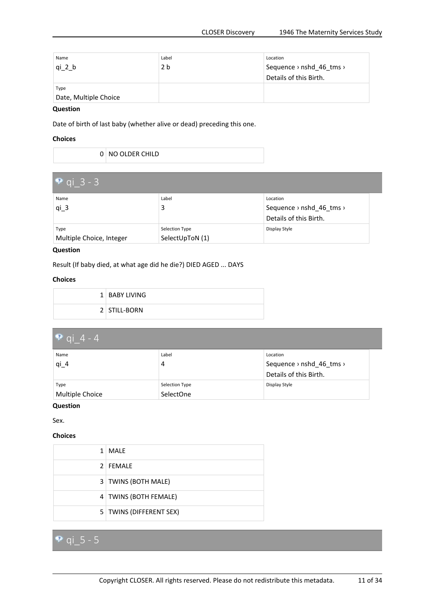<span id="page-10-0"></span>

| Name                  | Label | Location                                         |
|-----------------------|-------|--------------------------------------------------|
| qi 2 b                | 2 b   | Sequence $\rightarrow$ nshd 46 tms $\rightarrow$ |
|                       |       | Details of this Birth.                           |
| Type                  |       |                                                  |
| Date, Multiple Choice |       |                                                  |

Date of birth of last baby (whether alive or dead) preceding this one.

#### **Choices**

0 NO OLDER CHILD

| • qi $3 - 3$             |                 |                          |  |
|--------------------------|-----------------|--------------------------|--|
| Name                     | Label           | Location                 |  |
| $qi_3$                   |                 | Sequence > nshd_46_tms > |  |
|                          |                 | Details of this Birth.   |  |
| Type                     | Selection Type  | Display Style            |  |
| Multiple Choice, Integer | SelectUpToN (1) |                          |  |

#### **Question**

Result (If baby died, at what age did he die?) DIED AGED ... DAYS

#### **Choices**

| 1 BABY LIVING |
|---------------|
| 2 STILL-BORN  |

| • qi 4 - 4      |                |                          |  |
|-----------------|----------------|--------------------------|--|
| Name            | Label          | Location                 |  |
| $qi_4$          | 4              | Sequence > nshd_46_tms > |  |
|                 |                | Details of this Birth.   |  |
| Type            | Selection Type | Display Style            |  |
| Multiple Choice | SelectOne      |                          |  |

#### **Question**

Sex.

#### **Choices**

| 1 | <b>MAIF</b>             |
|---|-------------------------|
|   | 2 FEMALE                |
|   | 3   TWINS (BOTH MALE)   |
|   | 4 TWINS (BOTH FEMALE)   |
|   | 5 TWINS (DIFFERENT SEX) |

### **qi\_5 - 5**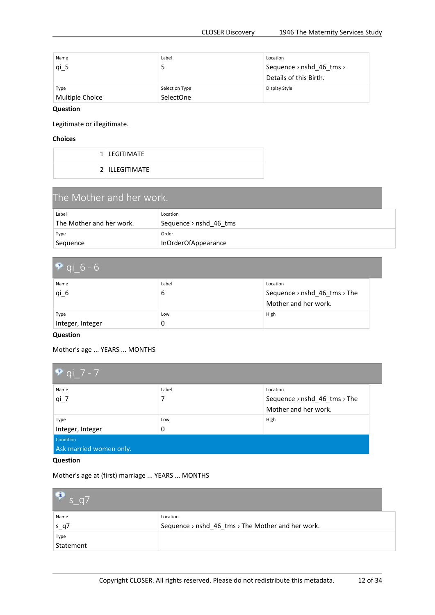<span id="page-11-0"></span>

| Name<br>$qi_5$          | Label<br>5                  | Location<br>Sequence $\rightarrow$ nshd 46 tms $\rightarrow$<br>Details of this Birth. |
|-------------------------|-----------------------------|----------------------------------------------------------------------------------------|
| Type<br>Multiple Choice | Selection Type<br>SelectOne | Display Style                                                                          |

Legitimate or illegitimate.

#### **Choices**

| 1 LEGITIMATE   |
|----------------|
| 2 ILLEGITIMATE |

| The Mother and her work. |                                    |  |
|--------------------------|------------------------------------|--|
| Label                    | Location                           |  |
| The Mother and her work. | Sequence $\rightarrow$ nshd 46 tms |  |
| Type                     | Order                              |  |
| Sequence                 | InOrderOfAppearance                |  |

| $9$ qi 6 - 6     |       |                              |  |
|------------------|-------|------------------------------|--|
| Name             | Label | Location                     |  |
| $qi_6$           | 6     | Sequence > nshd_46_tms > The |  |
|                  |       | Mother and her work.         |  |
| Type             | Low   | High                         |  |
| Integer, Integer | 0     |                              |  |

#### **Question**

Mother's age ... YEARS ... MONTHS

| • qi 7 - 7                                  |          |                                                                  |
|---------------------------------------------|----------|------------------------------------------------------------------|
| Name<br>$qi_7$                              | Label    | Location<br>Sequence > nshd_46_tms > The<br>Mother and her work. |
| Type<br>Integer, Integer                    | Low<br>0 | High                                                             |
| <b>Condition</b><br>Ask married women only. |          |                                                                  |

### **Question**

Mother's age at (first) marriage ... YEARS ... MONTHS

| $\bullet$ s q7 |                                                   |
|----------------|---------------------------------------------------|
| Name           | Location                                          |
| $s_q7$         | Sequence > nshd_46_tms > The Mother and her work. |
| Type           |                                                   |
| Statement      |                                                   |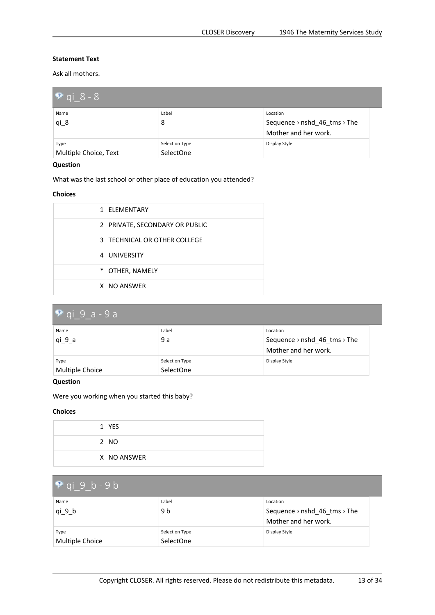<span id="page-12-0"></span>Ask all mothers.

| • qi 8 - 8            |                |                              |  |
|-----------------------|----------------|------------------------------|--|
| Name                  | Label          | Location                     |  |
| $qi_8$                | 8              | Sequence > nshd_46_tms > The |  |
|                       |                | Mother and her work.         |  |
| Type                  | Selection Type | Display Style                |  |
| Multiple Choice, Text | SelectOne      |                              |  |

#### **Question**

What was the last school or other place of education you attended?

#### **Choices**

| $\mathbf{1}$ | ELEMENTARY                       |
|--------------|----------------------------------|
|              | 2   PRIVATE, SECONDARY OR PUBLIC |
|              | 3   TECHNICAL OR OTHER COLLEGE   |
|              | 4 UNIVERSITY                     |
| $\ast$       | OTHER, NAMELY                    |
|              | X NO ANSWER                      |

| $\sqrt{9}$ qi 9 a - 9 a |                |                              |  |
|-------------------------|----------------|------------------------------|--|
| Name                    | Label          | Location                     |  |
| qi 9 a                  | 9 a            | Sequence > nshd_46_tms > The |  |
|                         |                | Mother and her work.         |  |
| Type                    | Selection Type | Display Style                |  |
| Multiple Choice         | SelectOne      |                              |  |

#### **Question**

Were you working when you started this baby?

#### **Choices**

|  | $1$ YES     |
|--|-------------|
|  | 2 NO        |
|  | X NO ANSWER |

## **qi\_9\_b - 9 b**

| Name            | Label          | Location                                             |  |
|-----------------|----------------|------------------------------------------------------|--|
| qi 9 b          | 9 b            | Sequence $\rightarrow$ nshd 46 tms $\rightarrow$ The |  |
|                 |                | Mother and her work.                                 |  |
| Type            | Selection Type | Display Style                                        |  |
| Multiple Choice | SelectOne      |                                                      |  |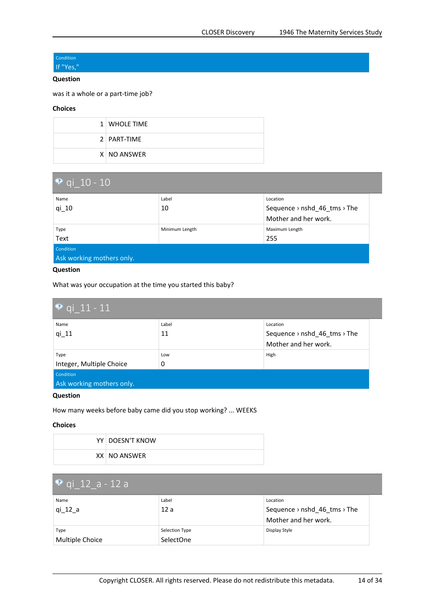#### <span id="page-13-0"></span>Condition If "Yes,"

#### **Question**

was it <sup>a</sup> whole or <sup>a</sup> part-time job?

#### **Choices**

| 1 WHOLE TIME  |
|---------------|
| 2   PART-TIME |
| X NO ANSWER   |

| $\bullet$ qi 10 - 10      |                |                              |  |  |
|---------------------------|----------------|------------------------------|--|--|
| Name                      | Label          | Location                     |  |  |
| $qi_1$ 10                 | 10             | Sequence > nshd_46_tms > The |  |  |
|                           |                | Mother and her work.         |  |  |
| Type                      | Minimum Length | Maximum Length               |  |  |
| Text                      |                | 255                          |  |  |
| Condition                 |                |                              |  |  |
| Ask working mothers only. |                |                              |  |  |

#### **Question**

What was your occupation at the time you started this baby?

| $\bullet$ qi 11 - 11      |       |                              |  |  |
|---------------------------|-------|------------------------------|--|--|
| Name                      | Label | Location                     |  |  |
| $qi_11$                   | 11    | Sequence > nshd_46_tms > The |  |  |
|                           |       | Mother and her work.         |  |  |
| Type                      | Low   | High                         |  |  |
| Integer, Multiple Choice  | 0     |                              |  |  |
| Condition                 |       |                              |  |  |
| Ask working mothers only. |       |                              |  |  |

#### **Question**

How many weeks before baby came did you stop working? ... WEEKS

#### **Choices**

| YY   DOESN'T KNOW |
|-------------------|
| XX NO ANSWER      |

# **qi\_12\_a - 12 <sup>a</sup>**

| Name<br>qi 12 a         | Label<br>12a                | Location<br>Sequence $\rightarrow$ nshd 46 tms $\rightarrow$ The<br>Mother and her work. |
|-------------------------|-----------------------------|------------------------------------------------------------------------------------------|
| Type<br>Multiple Choice | Selection Type<br>SelectOne | Display Style                                                                            |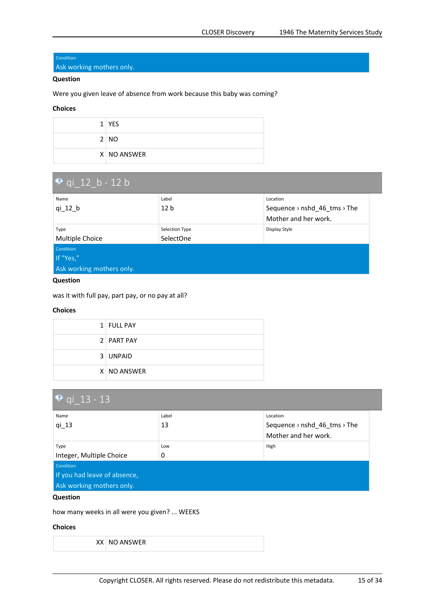#### <span id="page-14-0"></span>Condition

Ask working mothers only.

#### **Question**

Were you given leave of absence from work because this baby was coming?

#### **Choices**

| $1$ YES     |
|-------------|
| 2 NO        |
| X NO ANSWER |

| <b>P</b> qi_12 b - 12 b   |                 |                                                      |  |
|---------------------------|-----------------|------------------------------------------------------|--|
| Name                      | Label           | Location                                             |  |
| $qi_12_b$                 | 12 <sub>b</sub> | Sequence $\rightarrow$ nshd 46 tms $\rightarrow$ The |  |
|                           |                 | Mother and her work.                                 |  |
| Type                      | Selection Type  | Display Style                                        |  |
| Multiple Choice           | SelectOne       |                                                      |  |
| <b>Condition</b>          |                 |                                                      |  |
| If "Yes,"                 |                 |                                                      |  |
| Ask working mothers only. |                 |                                                      |  |

#### **Question**

was it with full pay, part pay, or no pay at all?

#### **Choices**

| 1 FULL PAY  |
|-------------|
| 2 PART PAY  |
| 3 UNPAID    |
| X NO ANSWER |

| • qi $13 - 13$               |       |                                                      |  |
|------------------------------|-------|------------------------------------------------------|--|
| Name                         | Label | Location                                             |  |
| $qi_13$                      | 13    | Sequence $\rightarrow$ nshd 46 tms $\rightarrow$ The |  |
|                              |       | Mother and her work.                                 |  |
| Type                         | Low   | High                                                 |  |
| Integer, Multiple Choice     | 0     |                                                      |  |
| Condition                    |       |                                                      |  |
| If you had leave of absence, |       |                                                      |  |
| Ask working mothers only.    |       |                                                      |  |

#### **Question**

how many weeks in all were you given? ... WEEKS

#### **Choices**

 $XX$  NO ANSWER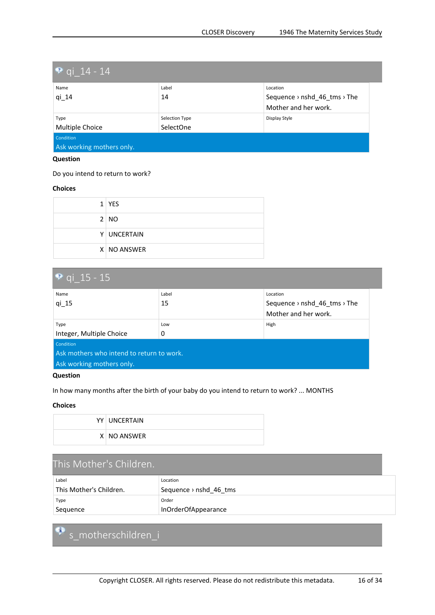<span id="page-15-0"></span>

| <b>P</b> qi $14 - 14$     |                  |                              |  |  |
|---------------------------|------------------|------------------------------|--|--|
| Name                      | Label            | Location                     |  |  |
| $qi_14$                   | 14               | Sequence > nshd_46_tms > The |  |  |
|                           |                  | Mother and her work.         |  |  |
| Type                      | Selection Type   | Display Style                |  |  |
| Multiple Choice           | <b>SelectOne</b> |                              |  |  |
| Condition                 |                  |                              |  |  |
| Ask working mothers only. |                  |                              |  |  |

#### Do you intend to return to work?

#### **Choices**

| $1$ YES     |
|-------------|
| 2 NO        |
| Y UNCERTAIN |
| X NO ANSWER |

| • qi 15 - 15                              |       |                                                      |
|-------------------------------------------|-------|------------------------------------------------------|
| Name                                      | Label | Location                                             |
| $qi_15$                                   | 15    | Sequence $\rightarrow$ nshd 46 tms $\rightarrow$ The |
|                                           |       | Mother and her work.                                 |
| Type                                      | Low   | High                                                 |
| Integer, Multiple Choice                  | 0     |                                                      |
| Condition                                 |       |                                                      |
| Ask mothers who intend to return to work. |       |                                                      |
| Ask working mothers only.                 |       |                                                      |

#### **Question**

In how many months after the birth of your baby do you intend to return to work? ... MONTHS

#### **Choices**

| YY UNCERTAIN |
|--------------|
| X NO ANSWER  |

| This Mother's Children. |                        |
|-------------------------|------------------------|
| Label                   | Location               |
| This Mother's Children. | Sequence > nshd_46_tms |
| Type                    | Order                  |
| Sequence                | InOrderOfAppearance    |

# **s\_motherschildren\_i**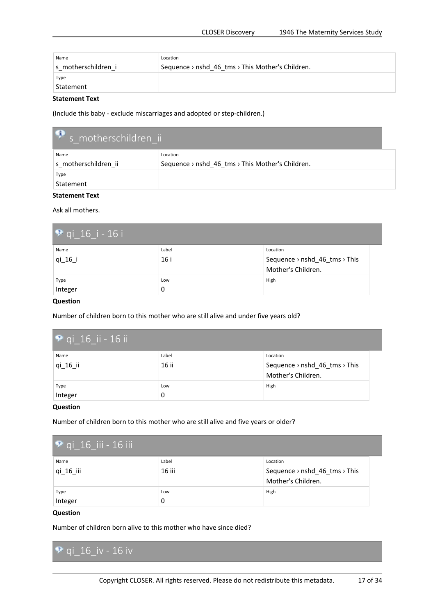<span id="page-16-0"></span>

| Name                | Location                                         |
|---------------------|--------------------------------------------------|
| s motherschildren i | Sequence > nshd 46 tms > This Mother's Children. |
| Type<br>Statement   |                                                  |

(Include this baby - exclude miscarriages and adopted or step-children.)

| S motherschildren_ii |                                                  |
|----------------------|--------------------------------------------------|
| Name                 | Location                                         |
| s motherschildren ii | Sequence > nshd_46_tms > This Mother's Children. |
| Type                 |                                                  |
| Statement            |                                                  |

#### **Statement Text**

Ask all mothers.

| $\bullet$ qi 16 i - 16 i |       |                               |
|--------------------------|-------|-------------------------------|
| Name                     | Label | Location                      |
| qi 16 i                  | 16 i  | Sequence > nshd_46_tms > This |
|                          |       | Mother's Children.            |
| Type                     | Low   | High                          |
| Integer                  | 0     |                               |

#### **Question**

Number of children born to this mother who are still alive and under five years old?

| $\bullet$ qi 16 ii - 16 ii |                |                                                                 |
|----------------------------|----------------|-----------------------------------------------------------------|
| Name<br>qi_16_ii           | Label<br>16 ii | Location<br>Sequence > nshd_46_tms > This<br>Mother's Children. |
| Type<br>Integer            | Low<br>0       | High                                                            |

#### **Question**

Number of children born to this mother who are still alive and five years or older?

| $\bullet$ qi 16 iii - 16 iii |        |                               |
|------------------------------|--------|-------------------------------|
| Name                         | Label  | Location                      |
| qi 16 iii                    | 16 iii | Sequence > nshd_46_tms > This |
|                              |        | Mother's Children.            |
| Type                         | Low    | High                          |
| Integer                      | 0      |                               |

#### **Question**

Number of children born alive to this mother who have since died?

**qi\_16\_iv - 16 iv**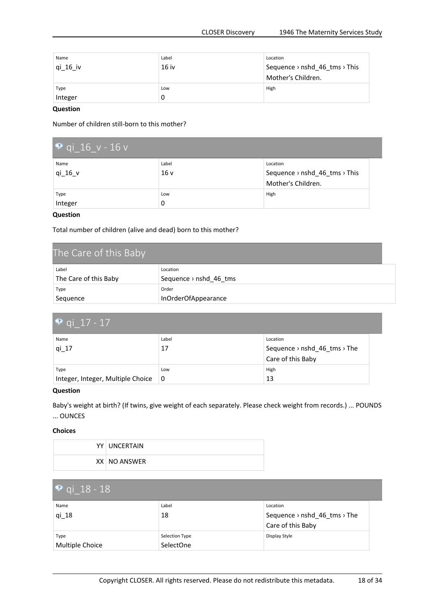<span id="page-17-0"></span>

| Name<br>qi_16_iv | Label<br>16 iv | Location<br>Sequence > nshd_46_tms > This |
|------------------|----------------|-------------------------------------------|
|                  |                | Mother's Children.                        |
| Type             | Low            | High                                      |
| Integer          | 0              |                                           |

Number of children still-born to this mother?

| <b>P</b> qi 16 $v - 16 v$ |                 |                               |
|---------------------------|-----------------|-------------------------------|
| Name                      | Label           | Location                      |
| qi 16 v                   | 16 <sub>v</sub> | Sequence > nshd_46_tms > This |
|                           |                 | Mother's Children.            |
| Type                      | Low             | High                          |
| Integer                   | 0               |                               |

#### **Question**

Total number of children (alive and dead) born to this mother?

| The Care of this Baby |                                    |
|-----------------------|------------------------------------|
| Label                 | Location                           |
| The Care of this Baby | Sequence $\rightarrow$ nshd 46 tms |
| Type                  | Order                              |
| Sequence              | InOrderOfAppearance                |

| • qi 17 - 17                      |       |                              |  |
|-----------------------------------|-------|------------------------------|--|
| Name                              | Label | Location                     |  |
| qi 17                             | 17    | Sequence > nshd_46_tms > The |  |
|                                   |       | Care of this Baby            |  |
| Type                              | Low   | High                         |  |
| Integer, Integer, Multiple Choice | ∣0    | 13                           |  |

#### **Question**

Baby's weight at birth? (If twins, give weight of each separately. Please check weight from records.) ... POUNDS ... OUNCES

| YY UNCERTAIN |
|--------------|
| XX NO ANSWER |

| $\bullet$ qi_18 - 18    |                             |                                                               |
|-------------------------|-----------------------------|---------------------------------------------------------------|
| Name<br>qi 18           | Label<br>18                 | Location<br>Sequence > nshd_46_tms > The<br>Care of this Baby |
| Type<br>Multiple Choice | Selection Type<br>SelectOne | Display Style                                                 |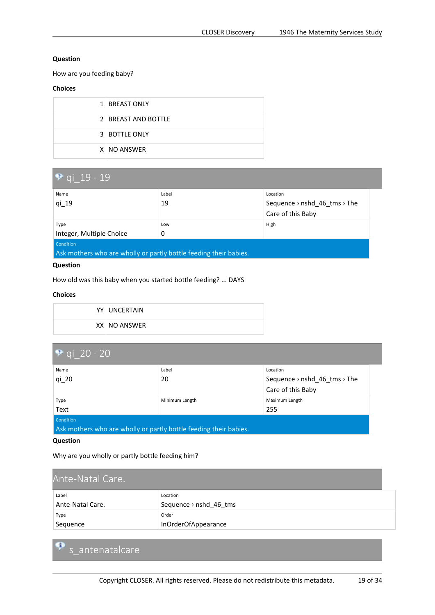<span id="page-18-0"></span>How are you feeding baby?

#### **Choices**

| 1 BREAST ONLY       |
|---------------------|
| 2 BREAST AND BOTTLE |
| 3 BOTTLE ONLY       |
| X NO ANSWER         |

| <b>P</b> qi $19 - 19$                                             |       |                              |  |
|-------------------------------------------------------------------|-------|------------------------------|--|
| Name                                                              | Label | Location                     |  |
| qi 19                                                             | 19    | Sequence > nshd_46_tms > The |  |
|                                                                   |       | Care of this Baby            |  |
| Type                                                              | Low   | High                         |  |
| Integer, Multiple Choice                                          | 0     |                              |  |
| Condition                                                         |       |                              |  |
| Ask mothers who are wholly or partly bottle feeding their babies. |       |                              |  |

#### **Question**

How old was this baby when you started bottle feeding? ... DAYS

#### **Choices**

| YY UNCERTAIN |
|--------------|
| XX NO ANSWER |

| • qi $20 - 20$                                                    |                |                                                      |  |
|-------------------------------------------------------------------|----------------|------------------------------------------------------|--|
| Name                                                              | Label          | Location                                             |  |
| $qi_2$                                                            | 20             | Sequence $\rightarrow$ nshd 46 tms $\rightarrow$ The |  |
|                                                                   |                | Care of this Baby                                    |  |
| Type                                                              | Minimum Length | Maximum Length                                       |  |
| Text                                                              |                | 255                                                  |  |
| Condition                                                         |                |                                                      |  |
| Ask mothers who are wholly or partly bottle feeding their babies. |                |                                                      |  |

#### **Question**

Ģ

Why are you wholly or partly bottle feeding him?

| Ante-Natal Care. |                        |
|------------------|------------------------|
| Label            | Location               |
| Ante-Natal Care. | Sequence > nshd_46_tms |
| Type             | Order                  |
| Sequence         | InOrderOfAppearance    |

```
s_antenatalcare
```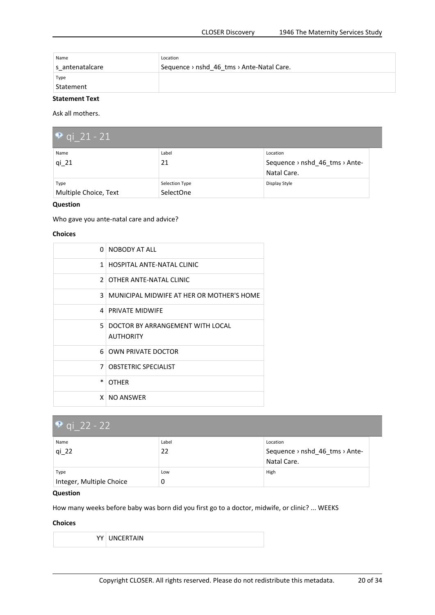<span id="page-19-0"></span>

| Name              | Location                                  |
|-------------------|-------------------------------------------|
| s antenatalcare   | Sequence > nshd 46 tms > Ante-Natal Care. |
| Type<br>Statement |                                           |

Ask all mothers.

| • qi 21 - 21                  |                             |                                            |
|-------------------------------|-----------------------------|--------------------------------------------|
| Name<br>$qi_21$               | Label<br>21                 | Location<br>Sequence > nshd 46 tms > Ante- |
|                               |                             | Natal Care.                                |
| Type<br>Multiple Choice, Text | Selection Type<br>SelectOne | Display Style                              |

#### **Question**

Who gave you ante-natal care and advice?

#### **Choices**

| <sup>n</sup>   | NOBODY AT ALL                                        |
|----------------|------------------------------------------------------|
| $\mathbf{1}$   | HOSPITAL ANTE-NATAL CLINIC                           |
|                | 2 OTHER ANTE-NATAL CLINIC                            |
|                | 3   MUNICIPAL MIDWIFE AT HER OR MOTHER'S HOME        |
|                | 4   PRIVATE MIDWIFE                                  |
| 5.             | DOCTOR BY ARRANGEMENT WITH LOCAL<br><b>AUTHORITY</b> |
|                | 6 OWN PRIVATE DOCTOR                                 |
| $\overline{7}$ | <b>OBSTETRIC SPECIALIST</b>                          |
| $\ast$         | <b>OTHER</b>                                         |
|                | X NO ANSWER                                          |

| • qi 22 - 22             |       |                                |
|--------------------------|-------|--------------------------------|
| Name                     | Label | Location                       |
| $qi_22$                  | 22    | Sequence > nshd_46_tms > Ante- |
|                          |       | Natal Care.                    |
| Type                     | Low   | High                           |
| Integer, Multiple Choice | 0     |                                |

#### **Question**

How many weeks before baby was born did you first go to <sup>a</sup> doctor, midwife, or clinic? ... WEEKS

| YY UNCERTAIN |
|--------------|
|--------------|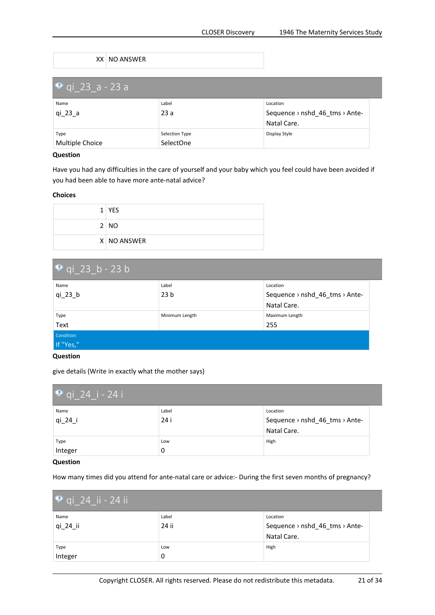#### XX NO ANSWER

<span id="page-20-0"></span>

| <b>P</b> qi 23 a - 23 a |                             |                                                                                   |
|-------------------------|-----------------------------|-----------------------------------------------------------------------------------|
| Name<br>qi 23 a         | Label<br>23a                | Location<br>Sequence $\rightarrow$ nshd 46 tms $\rightarrow$ Ante-<br>Natal Care. |
| Type<br>Multiple Choice | Selection Type<br>SelectOne | Display Style                                                                     |

#### **Question**

Have you had any difficulties in the care of yourself and your baby which you feel could have been avoided if you had been able to have more ante-natal advice?

#### **Choices**

| $1$ YES     |
|-------------|
| 2 NO        |
| X NO ANSWER |

| $\bullet$ qi 23 b - 23 b |                 |                                |
|--------------------------|-----------------|--------------------------------|
| Name                     | Label           | Location                       |
| $qi_23_b$                | 23 <sub>b</sub> | Sequence > nshd 46 tms > Ante- |
|                          |                 | Natal Care.                    |
| Type                     | Minimum Length  | Maximum Length                 |
| Text                     |                 | 255                            |
| Condition                |                 |                                |
| If "Yes,"                |                 |                                |

#### **Question**

give details (Write in exactly what the mother says)

| <b>P</b> qi_24_i - 24 i |               |                                                           |
|-------------------------|---------------|-----------------------------------------------------------|
| Name<br>$qi_24_i$       | Label<br>24 i | Location<br>Sequence > nshd_46_tms > Ante-<br>Natal Care. |
| Type<br>Integer         | Low<br>0      | High                                                      |

#### **Question**

How many times did you attend for ante-natal care or advice:- During the first seven months of pregnancy?

| $\bullet$ qi_24_ii - 24 ii |       |                                |
|----------------------------|-------|--------------------------------|
| Name                       | Label | Location                       |
| $qi_24_ii$                 | 24 ii | Sequence > nshd_46_tms > Ante- |
|                            |       | Natal Care.                    |
| Type                       | Low   | High                           |
| Integer                    | 0     |                                |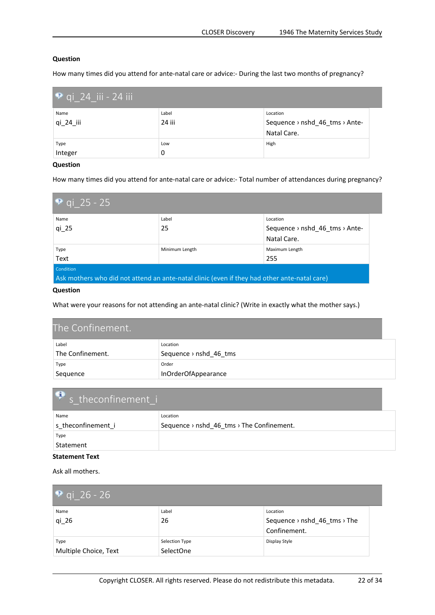<span id="page-21-0"></span>How many times did you attend for ante-natal care or advice:- During the last two months of pregnancy?

| $\bullet$ qi 24 iii - 24 iii |        |                                |
|------------------------------|--------|--------------------------------|
| Name                         | Label  | Location                       |
| qi 24 iii                    | 24 iii | Sequence > nshd_46_tms > Ante- |
|                              |        | Natal Care.                    |
| Type                         | Low    | High                           |
| Integer                      | 0      |                                |

#### **Question**

How many times did you attend for ante-natal care or advice:- Total number of attendances during pregnancy?

| • qi 25 - 25                                                                                 |                |                                                        |
|----------------------------------------------------------------------------------------------|----------------|--------------------------------------------------------|
| Name                                                                                         | Label          | Location                                               |
| $qi_25$                                                                                      | 25             | Sequence $\rightarrow$ nshd 46 tms $\rightarrow$ Ante- |
|                                                                                              |                | Natal Care.                                            |
| Type                                                                                         | Minimum Length | Maximum Length                                         |
| Text                                                                                         |                | 255                                                    |
| <b>Condition</b>                                                                             |                |                                                        |
| Ask mothers who did not attend an ante-natal clinic (even if they had other ante-natal care) |                |                                                        |

#### **Question**

What were your reasons for not attending an ante-natal clinic? (Write in exactly what the mother says.)

| The Confinement. |                                    |
|------------------|------------------------------------|
| Label            | Location                           |
| The Confinement. | Sequence $\rightarrow$ nshd 46 tms |
| Type             | Order                              |
| Sequence         | InOrderOfAppearance                |

| s theconfinement i |                                           |
|--------------------|-------------------------------------------|
| Name               | Location                                  |
| s theconfinement i | Sequence > nshd_46_tms > The Confinement. |
| Type               |                                           |
| Statement          |                                           |

#### **Statement Text**

Ask all mothers.

| $\bullet$ qi 26 - 26          |                             |                                                          |
|-------------------------------|-----------------------------|----------------------------------------------------------|
| Name<br>qi 26                 | Label<br>26                 | Location<br>Sequence > nshd_46_tms > The<br>Confinement. |
| Type<br>Multiple Choice, Text | Selection Type<br>SelectOne | Display Style                                            |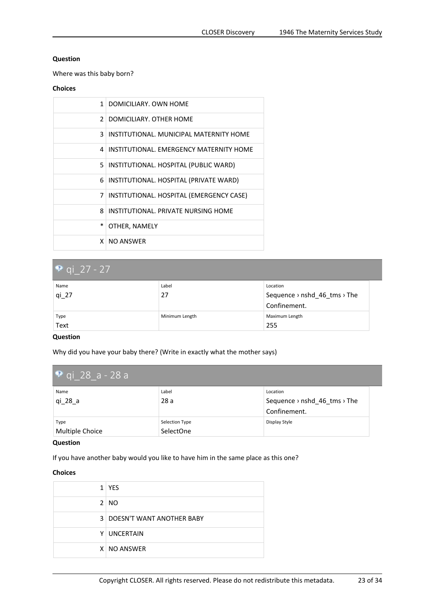<span id="page-22-0"></span>Where was this baby born?

#### **Choices**

| $\mathbf{1}$   | DOMICILIARY, OWN HOME                     |
|----------------|-------------------------------------------|
|                | 2 DOMICILIARY, OTHER HOME                 |
| 3              | INSTITUTIONAL. MUNICIPAL MATERNITY HOME   |
| $\overline{4}$ | INSTITUTIONAL. EMERGENCY MATERNITY HOME   |
|                | 5   INSTITUTIONAL. HOSPITAL (PUBLIC WARD) |
|                | 6 INSTITUTIONAL. HOSPITAL (PRIVATE WARD)  |
| $\overline{7}$ | INSTITUTIONAL. HOSPITAL (EMERGENCY CASE)  |
|                | 8   INSTITUTIONAL, PRIVATE NURSING HOME   |
| *              | OTHER, NAMELY                             |
| x.             | <b>NO ANSWER</b>                          |

| <b>P</b> qi 27 - 27 |                |                              |  |
|---------------------|----------------|------------------------------|--|
| Name                | Label          | Location                     |  |
| $qi_27$             | 27             | Sequence > nshd_46_tms > The |  |
|                     |                | Confinement.                 |  |
| Type                | Minimum Length | Maximum Length               |  |
| Text                |                | 255                          |  |

#### **Question**

Why did you have your baby there? (Write in exactly what the mother says)

| $\sqrt{9}$ qi 28 a - 28 a |                |                              |  |
|---------------------------|----------------|------------------------------|--|
| Name                      | Label          | Location                     |  |
| qi 28 a                   | 28 a           | Sequence > nshd_46_tms > The |  |
|                           |                | Confinement.                 |  |
| Type                      | Selection Type | Display Style                |  |
| Multiple Choice           | SelectOne      |                              |  |

#### **Question**

If you have another baby would you like to have him in the same place as this one?

| 1 YES                              |
|------------------------------------|
| 2 NO                               |
| <b>3 DOESN'T WANT ANOTHER BABY</b> |
| Y UNCERTAIN                        |
| X NO ANSWER                        |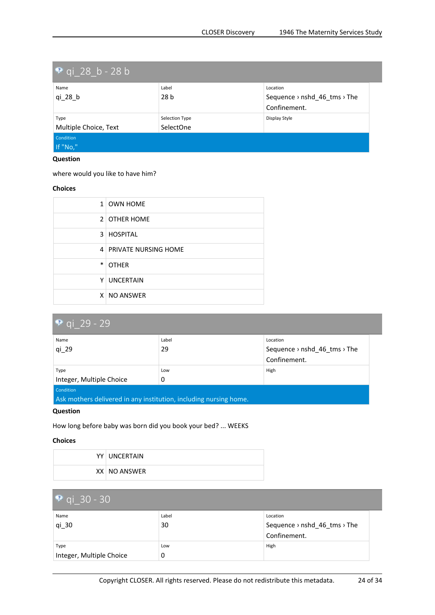<span id="page-23-0"></span>

| $\bullet$ qi 28 b - 28 b      |                             |                                              |
|-------------------------------|-----------------------------|----------------------------------------------|
| Name                          | Label                       | Location                                     |
| qi 28 b                       | 28 <sub>b</sub>             | Sequence > nshd_46_tms > The<br>Confinement. |
| Type<br>Multiple Choice, Text | Selection Type<br>SelectOne | Display Style                                |
| Condition<br>If "No,"         |                             |                                              |

where would you like to have him?

#### **Choices**

|        | 1 OWN HOME               |
|--------|--------------------------|
|        | 2 OTHER HOME             |
|        | 3 HOSPITAL               |
|        | 4   PRIVATE NURSING HOME |
| $\ast$ | <b>OTHER</b>             |
|        | Y UNCERTAIN              |
|        | X NO ANSWER              |

| $\bullet$ qi 29 - 29                                              |       |                                                      |
|-------------------------------------------------------------------|-------|------------------------------------------------------|
| Name                                                              | Label | Location                                             |
| $qi_29$                                                           | 29    | Sequence $\rightarrow$ nshd 46 tms $\rightarrow$ The |
|                                                                   |       | Confinement.                                         |
| Type                                                              | Low   | High                                                 |
| Integer, Multiple Choice                                          | 0     |                                                      |
| Condition                                                         |       |                                                      |
| Ask mothers delivered in any institution, including nursing home. |       |                                                      |

#### **Question**

How long before baby was born did you book your bed? ... WEEKS

| YY UNCERTAIN |
|--------------|
| XX NO ANSWER |

| • qi $30 - 30$           |       |                              |
|--------------------------|-------|------------------------------|
| Name                     | Label | Location                     |
| qi 30                    | 30    | Sequence > nshd_46_tms > The |
|                          |       | Confinement.                 |
| Type                     | Low   | High                         |
| Integer, Multiple Choice | 0     |                              |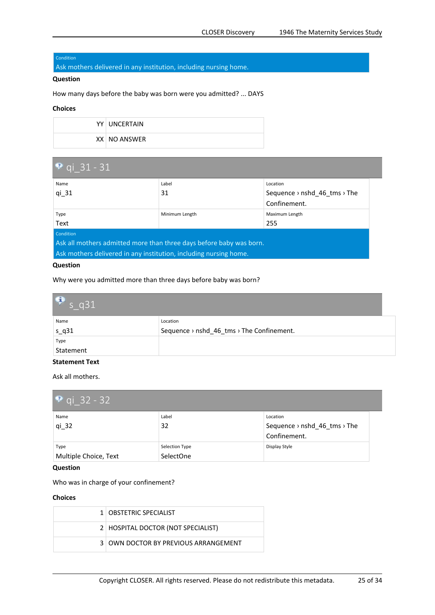#### <span id="page-24-0"></span>Condition

Ask mothers delivered in any institution, including nursing home.

#### **Question**

How many days before the baby was born were you admitted? ... DAYS

#### **Choices**

|  | YY UNCERTAIN |
|--|--------------|
|  | XX NO ANSWER |

| <b>P</b> qi 31 - 31                                                 |                |                                                      |  |
|---------------------------------------------------------------------|----------------|------------------------------------------------------|--|
| Name                                                                | Label          | Location                                             |  |
| $qi_31$                                                             | 31             | Sequence $\rightarrow$ nshd 46 tms $\rightarrow$ The |  |
|                                                                     |                | Confinement.                                         |  |
| Type                                                                | Minimum Length | Maximum Length                                       |  |
| Text                                                                |                | 255                                                  |  |
| Condition                                                           |                |                                                      |  |
| Ask all mothers admitted more than three days before baby was born. |                |                                                      |  |
| Ask mothers delivered in any institution, including nursing home.   |                |                                                      |  |

#### **Question**

Why were you admitted more than three days before baby was born?

| $\bullet$ s q31 |                                           |
|-----------------|-------------------------------------------|
| Name            | Location                                  |
| $s_q31$         | Sequence > nshd_46_tms > The Confinement. |
| Type            |                                           |
| Statement       |                                           |

#### **Statement Text**

Ask all mothers.

| <b>P</b> qi 32 - 32           |                             |                                                          |  |
|-------------------------------|-----------------------------|----------------------------------------------------------|--|
| Name<br>$qi_32$               | Label<br>32                 | Location<br>Sequence > nshd_46_tms > The<br>Confinement. |  |
| Type<br>Multiple Choice, Text | Selection Type<br>SelectOne | Display Style                                            |  |

**Question**

Who was in charge of your confinement?

| 1   OBSTETRIC SPECIALIST             |
|--------------------------------------|
| 2   HOSPITAL DOCTOR (NOT SPECIALIST) |
| 3 OWN DOCTOR BY PREVIOUS ARRANGEMENT |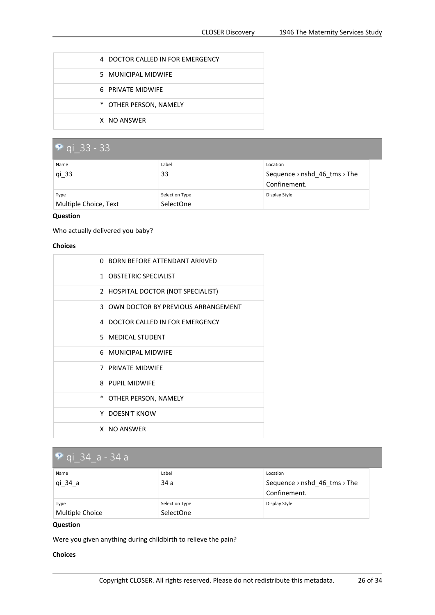<span id="page-25-0"></span>

| 4 DOCTOR CALLED IN FOR EMERGENCY |
|----------------------------------|
| 5   MUNICIPAL MIDWIFE            |
| 6 PRIVATE MIDWIFF                |
| * OTHER PERSON, NAMELY           |
| X NO ANSWER                      |

#### **qi\_33 - 33** Name qi\_33 Label 33 Location Sequence › nshd\_46\_tms › The Confinement. Type Multiple Choice, Text Selection Type SelectOne Display Style

#### **Question**

Who actually delivered you baby?

#### **Choices**

| n.           | <b>BORN BEFORE ATTENDANT ARRIVED</b>    |
|--------------|-----------------------------------------|
| $\mathbf{1}$ | <b>OBSTETRIC SPECIALIST</b>             |
| $\mathbf{2}$ | <b>HOSPITAL DOCTOR (NOT SPECIALIST)</b> |
| 3            | OWN DOCTOR BY PREVIOUS ARRANGEMENT      |
| 4            | DOCTOR CALLED IN FOR EMERGENCY          |
| 5.           | <b>MEDICAL STUDENT</b>                  |
| 6.           | <b>MUNICIPAL MIDWIFE</b>                |
| 7            | <b>PRIVATE MIDWIFF</b>                  |
| 8            | <b>PUPIL MIDWIFF</b>                    |
| $\ast$       | OTHER PERSON, NAMELY                    |
| Υ            | <b>DOESN'T KNOW</b>                     |
| X.           | <b>NO ANSWER</b>                        |

## **qi\_34\_a - 34 <sup>a</sup>**

| Name<br>qi_34_a         | Label<br>34a                | Location<br>Sequence $\rightarrow$ nshd 46 tms $\rightarrow$ The<br>Confinement. |
|-------------------------|-----------------------------|----------------------------------------------------------------------------------|
| Type<br>Multiple Choice | Selection Type<br>SelectOne | Display Style                                                                    |

#### **Question**

Were you given anything during childbirth to relieve the pain?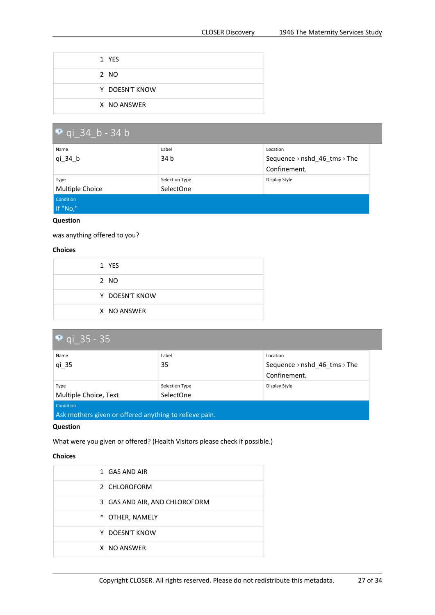<span id="page-26-0"></span>

| $1$ YES        |
|----------------|
| 2 NO           |
| Y DOESN'T KNOW |
| X NO ANSWER    |

| $\bullet$ qi 34 b - 34 b |                  |                              |
|--------------------------|------------------|------------------------------|
| Name                     | Label            | Location                     |
| $qi_34_b$                | 34 b             | Sequence > nshd_46_tms > The |
|                          |                  | Confinement.                 |
| Type                     | Selection Type   | Display Style                |
| Multiple Choice          | <b>SelectOne</b> |                              |
| Condition                |                  |                              |
| If "No,"                 |                  |                              |

was anything offered to you?

#### **Choices**

| $1$ YES        |
|----------------|
| 2 NO           |
| Y DOESN'T KNOW |
| X NO ANSWER    |

| <b>P</b> qi 35 - 35                                    |                |                              |
|--------------------------------------------------------|----------------|------------------------------|
| Name                                                   | Label          | Location                     |
| qi 35                                                  | 35             | Sequence > nshd_46_tms > The |
|                                                        |                | Confinement.                 |
| Type                                                   | Selection Type | Display Style                |
| Multiple Choice, Text                                  | SelectOne      |                              |
| Condition                                              |                |                              |
| Ask mothers given or offered anything to relieve pain. |                |                              |

#### **Question**

What were you given or offered? (Health Visitors please check if possible.)

|        | 1   GAS AND AIR                 |
|--------|---------------------------------|
|        | 2 CHLOROFORM                    |
|        | 3   GAS AND AIR, AND CHLOROFORM |
| $\ast$ | <b>OTHER, NAMELY</b>            |
|        | Y   DOESN'T KNOW                |
|        | X NO ANSWER                     |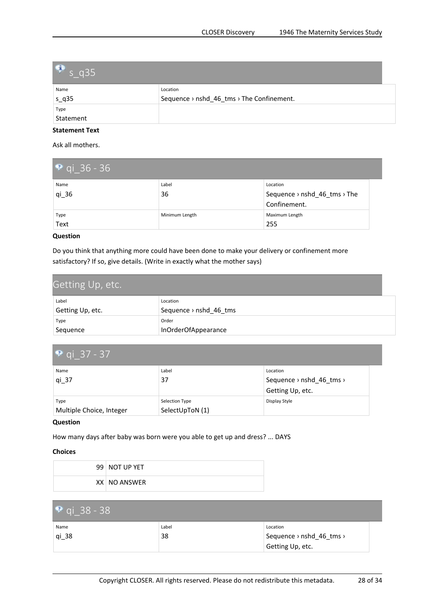<span id="page-27-0"></span>

| $\bullet$ s_q35 |                                           |
|-----------------|-------------------------------------------|
| Name            | Location                                  |
| $s_q35$         | Sequence > nshd_46_tms > The Confinement. |
| Type            |                                           |
| Statement       |                                           |

Ask all mothers.

| $\bullet$ qi 36 - 36 |                |                              |
|----------------------|----------------|------------------------------|
| Name                 | Label          | Location                     |
| $qi_36$              | 36             | Sequence > nshd_46_tms > The |
|                      |                | Confinement.                 |
| Type                 | Minimum Length | Maximum Length               |
| Text                 |                | 255                          |

#### **Question**

Do you think that anything more could have been done to make your delivery or confinement more satisfactory? If so, give details. (Write in exactly what the mother says)

| Getting Up, etc. |                                    |
|------------------|------------------------------------|
| Label            | Location                           |
| Getting Up, etc. | Sequence $\rightarrow$ nshd 46 tms |
| Type             | Order                              |
| Sequence         | InOrderOfAppearance                |

| • qi 37 - 37                     |                                   |                                                          |  |
|----------------------------------|-----------------------------------|----------------------------------------------------------|--|
| Name<br>$qi_37$                  | Label<br>37                       | Location<br>Sequence > nshd_46_tms ><br>Getting Up, etc. |  |
| Type<br>Multiple Choice, Integer | Selection Type<br>SelectUpToN (1) | Display Style                                            |  |

#### **Question**

How many days after baby was born were you able to get up and dress? ... DAYS

| $99$   NOT UP YET |
|-------------------|
| XX NO ANSWER      |

| • qi 38 - 38 |       |                                                  |
|--------------|-------|--------------------------------------------------|
| Name         | Label | Location                                         |
| $qi_38$      | 38    | Sequence $\rightarrow$ nshd 46 tms $\rightarrow$ |
|              |       | Getting Up, etc.                                 |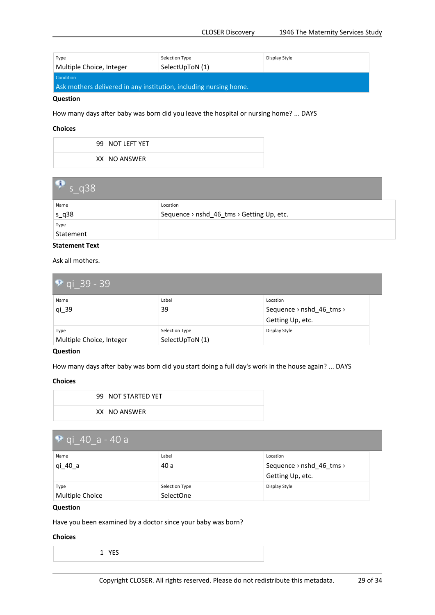<span id="page-28-0"></span>

| Type                                                              | Selection Type  | Display Style |
|-------------------------------------------------------------------|-----------------|---------------|
| Multiple Choice, Integer                                          | SelectUpToN (1) |               |
| Condition                                                         |                 |               |
| Ask mothers delivered in any institution, including nursing home. |                 |               |

How many days after baby was born did you leave the hospital or nursing home? ... DAYS

#### **Choices**

| 99   NOT LEFT YET |
|-------------------|
| XX NO ANSWER      |

| $\bullet$ s q38 |                                           |
|-----------------|-------------------------------------------|
| Name            | Location                                  |
| $s_q38$         | Sequence > nshd_46_tms > Getting Up, etc. |
| Type            |                                           |
| Statement       |                                           |

#### **Statement Text**

Ask all mothers.

| • qi 39 - 39                     |                                   |                                                          |  |
|----------------------------------|-----------------------------------|----------------------------------------------------------|--|
| Name<br>$qi_39$                  | Label<br>39                       | Location<br>Sequence > nshd_46_tms ><br>Getting Up, etc. |  |
| Type<br>Multiple Choice, Integer | Selection Type<br>SelectUpToN (1) | Display Style                                            |  |

#### **Question**

How many days after baby was born did you start doing <sup>a</sup> full day's work in the house again? ... DAYS

#### **Choices**

| 99 NOT STARTED YET |
|--------------------|
| XX NO ANSWER       |

| $\sqrt{9}$ gi_40_a - 40 a |                |                          |  |
|---------------------------|----------------|--------------------------|--|
| Name                      | Label          | Location                 |  |
| qi 40 a                   | 40 a           | Sequence > nshd_46_tms > |  |
|                           |                | Getting Up, etc.         |  |
| Type                      | Selection Type | Display Style            |  |
| Multiple Choice           | SelectOne      |                          |  |

#### **Question**

Have you been examined by <sup>a</sup> doctor since your baby was born?

|  | ۰, |
|--|----|
|  |    |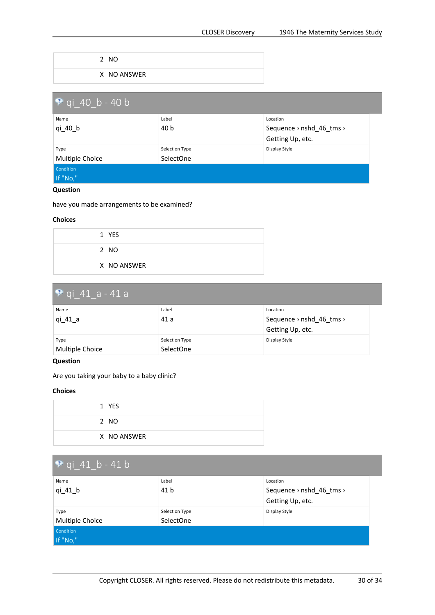<span id="page-29-0"></span>

| 2 | <b>NO</b>   |
|---|-------------|
|   | X NO ANSWER |

| $\bullet$ qi 40 b - 40 b |                  |                          |  |  |
|--------------------------|------------------|--------------------------|--|--|
| Name                     | Label            | Location                 |  |  |
| qi 40 b                  | 40 b             | Sequence > nshd_46_tms > |  |  |
|                          |                  | Getting Up, etc.         |  |  |
| Type                     | Selection Type   | Display Style            |  |  |
| Multiple Choice          | <b>SelectOne</b> |                          |  |  |
| Condition                |                  |                          |  |  |
| If "No,"                 |                  |                          |  |  |

have you made arrangements to be examined?

#### **Choices**

| $1$ YES     |
|-------------|
| 2 NO        |
| X NO ANSWER |

#### **qi\_41\_a - 41 <sup>a</sup>** Name qi\_41\_a Label 41 a Location Sequence › nshd\_46\_tms › Getting Up, etc. Type Multiple Choice Selection Type SelectOne Display Style

#### **Question**

Are you taking your baby to <sup>a</sup> baby clinic?

|  | $1$ YES     |
|--|-------------|
|  | 2 NO        |
|  | X NO ANSWER |

| $\sqrt{q}$ qi_41_b - 41 b    |                             |                                                          |
|------------------------------|-----------------------------|----------------------------------------------------------|
| Name<br>$qi_41_b$            | Label<br>41 b               | Location<br>Sequence > nshd_46_tms ><br>Getting Up, etc. |
| Type<br>Multiple Choice      | Selection Type<br>SelectOne | Display Style                                            |
| <b>Condition</b><br>If "No," |                             |                                                          |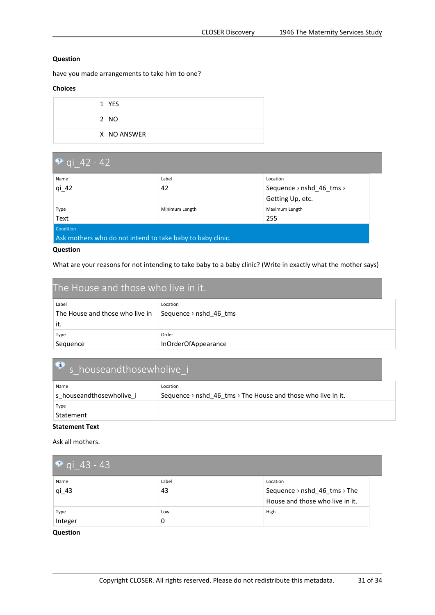<span id="page-30-0"></span>have you made arrangements to take him to one?

#### **Choices**

| $1$ YES     |
|-------------|
| 2 NO        |
| X NO ANSWER |

| $\bullet$ qi 42 - 42                                       |                |                                                  |
|------------------------------------------------------------|----------------|--------------------------------------------------|
| Name                                                       | Label          | Location                                         |
| $qi_42$                                                    | 42             | Sequence $\rightarrow$ nshd 46 tms $\rightarrow$ |
|                                                            |                | Getting Up, etc.                                 |
| Type                                                       | Minimum Length | Maximum Length                                   |
| Text                                                       |                | 255                                              |
| Condition                                                  |                |                                                  |
| Ask mothers who do not intend to take baby to baby clinic. |                |                                                  |

#### **Question**

What are your reasons for not intending to take baby to <sup>a</sup> baby clinic? (Write in exactly what the mother says)

| The House and those who live in it. |                        |
|-------------------------------------|------------------------|
| Label                               | Location               |
| The House and those who live in     | Sequence > nshd 46 tms |
| it.                                 |                        |
| Type                                | Order                  |
| Sequence                            | InOrderOfAppearance    |

# **s\_houseandthosewholive\_i**

| Name                     | Location                                                                             |
|--------------------------|--------------------------------------------------------------------------------------|
| s houseandthosewholive i | Sequence $\rightarrow$ nshd 46 tms $\rightarrow$ The House and those who live in it. |
| Type                     |                                                                                      |
| Statement                |                                                                                      |

#### **Statement Text**

Ask all mothers.

| • qi_43 - 43    |             |                                                                             |
|-----------------|-------------|-----------------------------------------------------------------------------|
| Name<br>$qi_43$ | Label<br>43 | Location<br>Sequence > nshd_46_tms > The<br>House and those who live in it. |
| Type<br>Integer | Low<br>0    | High                                                                        |

#### **Question**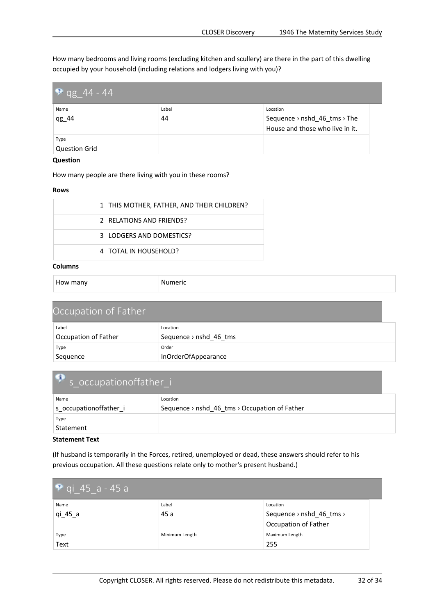<span id="page-31-0"></span>How many bedrooms and living rooms (excluding kitchen and scullery) are there in the part of this dwelling occupied by your household (including relations and lodgers living with you)?

| $\bullet$ qg_44 - 44 |       |                                 |
|----------------------|-------|---------------------------------|
| Name                 | Label | Location                        |
| qg_44                | 44    | Sequence > nshd_46_tms > The    |
|                      |       | House and those who live in it. |
| Type                 |       |                                 |
| <b>Question Grid</b> |       |                                 |

#### **Question**

How many people are there living with you in these rooms?

#### **Rows**

| 1   THIS MOTHER, FATHER, AND THEIR CHILDREN? |
|----------------------------------------------|
| 2   RELATIONS AND FRIENDS?                   |
| 3 LODGERS AND DOMESTICS?                     |
| 4   TOTAL IN HOUSEHOLD?                      |

#### **Columns**

| How many |  |
|----------|--|
|----------|--|

```
Numeric
```

| Occupation of Father |                                    |  |
|----------------------|------------------------------------|--|
| Label                | Location                           |  |
| Occupation of Father | Sequence $\rightarrow$ nshd 46 tms |  |
| Type                 | Order                              |  |
| Sequence             | InOrderOfAppearance                |  |

#### Ĵ. **s\_occupationoffather\_i**

| Name                   | Location                                                              |
|------------------------|-----------------------------------------------------------------------|
| s occupationoffather i | Sequence $\rightarrow$ nshd 46 tms $\rightarrow$ Occupation of Father |
| Type                   |                                                                       |
| Statement              |                                                                       |

#### **Statement Text**

(If husband is temporarily in the Forces, retired, unemployed or dead, these answers should refer to his previous occupation. All these questions relate only to mother's present husband.)

| $\sqrt{9}$ qi_45_a - 45 a |                |                          |  |
|---------------------------|----------------|--------------------------|--|
| Name                      | Label          | Location                 |  |
| qi 45 a                   | 45 a           | Sequence > nshd_46_tms > |  |
|                           |                | Occupation of Father     |  |
| Type                      | Minimum Length | Maximum Length           |  |
| Text                      |                | 255                      |  |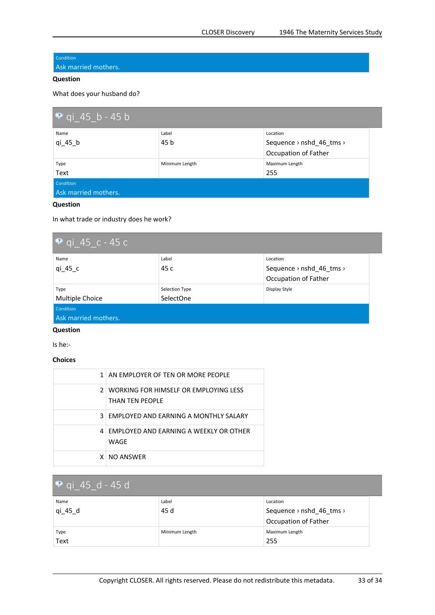#### <span id="page-32-0"></span>Condition

Ask married mothers.

#### **Question**

What does your husband do?

| $\bullet$ qi 45 b - 45 b |                |                          |
|--------------------------|----------------|--------------------------|
| Name                     | Label          | Location                 |
| qi 45 b                  | 45 b           | Sequence > nshd_46_tms > |
|                          |                | Occupation of Father     |
| Type                     | Minimum Length | Maximum Length           |
| Text                     |                | 255                      |
| Condition                |                |                          |
| Ask married mothers.     |                |                          |

#### **Question**

In what trade or industry does he work?

| <b>P</b> qi 45 c - 45 c |                |                                                              |
|-------------------------|----------------|--------------------------------------------------------------|
| Name<br>qi 45 c         | Label<br>45 c  | Location<br>Sequence $\rightarrow$ nshd 46 tms $\rightarrow$ |
|                         |                | Occupation of Father                                         |
| Type                    | Selection Type | Display Style                                                |
| Multiple Choice         | SelectOne      |                                                              |
| <b>Condition</b>        |                |                                                              |
| Ask married mothers.    |                |                                                              |

#### **Question**

Is he:-

#### **Choices**

| 1   AN EMPLOYER OF TEN OR MORE PEOPLE                        |
|--------------------------------------------------------------|
| 2   WORKING FOR HIMSELF OR EMPLOYING LESS<br>THAN TFN PFOPLE |
| 3 FMPLOYED AND FARNING A MONTHLY SALARY                      |
| 4 FMPLOYED AND FARNING A WEEKLY OR OTHER<br>WAGF             |
| X NO ANSWER                                                  |

## **qi\_45\_d - 45 d**

| Name    | Label          | Location                 |
|---------|----------------|--------------------------|
| qi_45_d | 45 d           | Sequence > nshd_46_tms > |
|         |                | Occupation of Father     |
| Type    | Minimum Length | Maximum Length           |
| Text    |                | 255                      |